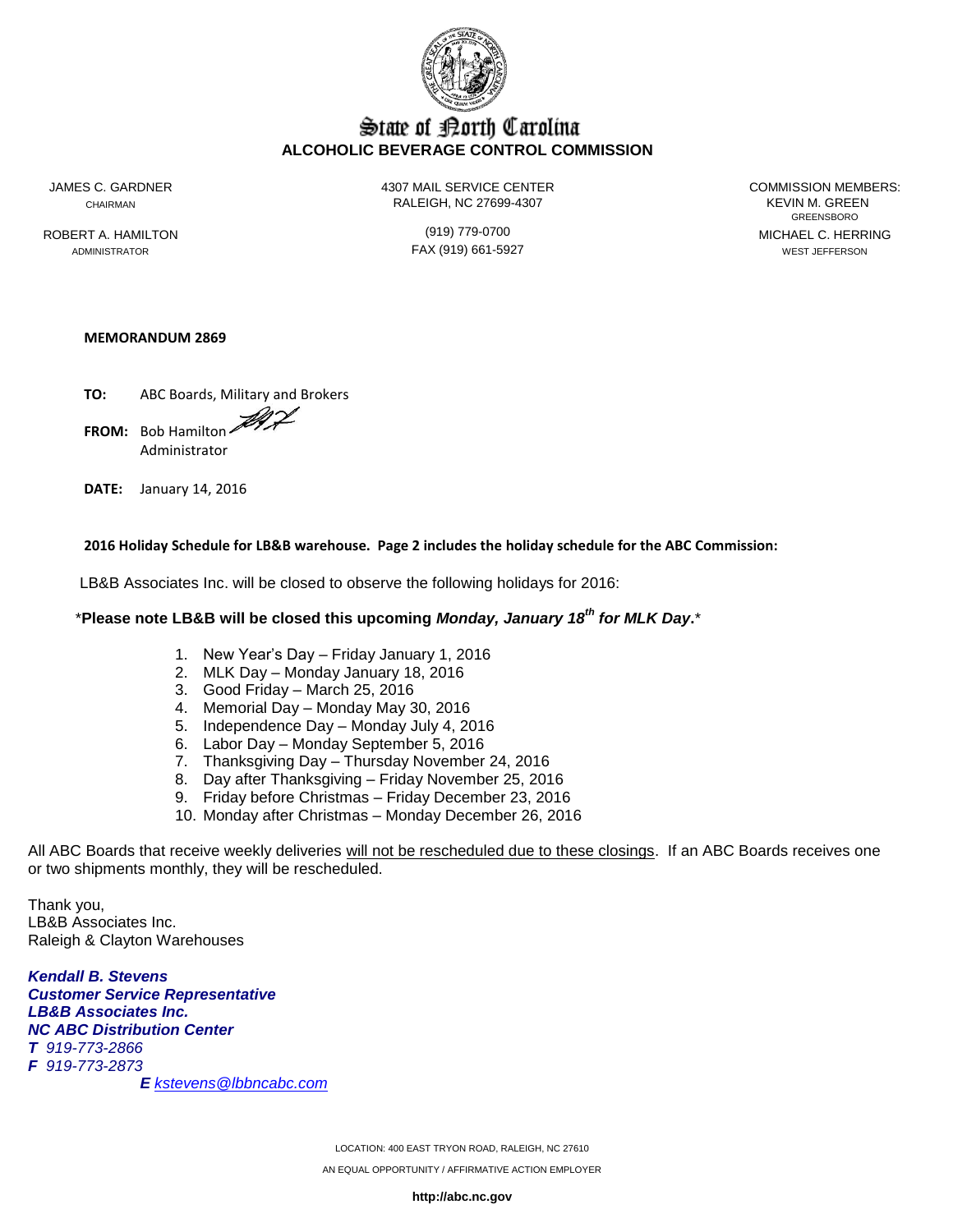

# State of Borth Carolina **ALCOHOLIC BEVERAGE CONTROL COMMISSION**

JAMES C. GARDNER 4307 MAIL SERVICE CENTER COMMISSION MEMBERS: CHAIRMAN RALEIGH, NC 27699-4307 KEVIN M. GREEN

GREENSBORO ROBERT A. HAMILTON (919) 779-0700 MICHAEL C. HERRING ADMINISTRATOR FAX (919) 661-5927 WEST JEFFERSON

### **MEMORANDUM 2869**

**TO:** ABC Boards, Military and Brokers **FROM:** Bob Hamilton Administrator

**DATE:** January 14, 2016

### **2016 Holiday Schedule for LB&B warehouse. Page 2 includes the holiday schedule for the ABC Commission:**

LB&B Associates Inc. will be closed to observe the following holidays for 2016:

## \***Please note LB&B will be closed this upcoming** *Monday, January 18th for MLK Day***.**\*

- 1. New Year's Day Friday January 1, 2016
- 2. MLK Day Monday January 18, 2016
- 3. Good Friday March 25, 2016
- 4. Memorial Day Monday May 30, 2016
- 5. Independence Day Monday July 4, 2016
- 6. Labor Day Monday September 5, 2016
- 7. Thanksgiving Day Thursday November 24, 2016
- 8. Day after Thanksgiving Friday November 25, 2016
- 9. Friday before Christmas Friday December 23, 2016
- 10. Monday after Christmas Monday December 26, 2016

All ABC Boards that receive weekly deliveries will not be rescheduled due to these closings. If an ABC Boards receives one or two shipments monthly, they will be rescheduled.

Thank you, LB&B Associates Inc. Raleigh & Clayton Warehouses

*Kendall B. Stevens Customer Service Representative LB&B Associates Inc. NC ABC Distribution Center T 919-773-2866 F 919-773-2873 E [kstevens@lbbncabc.com](mailto:kstevens@lbbncabc.com)*

> LOCATION: 400 EAST TRYON ROAD, RALEIGH, NC 27610 AN EQUAL OPPORTUNITY / AFFIRMATIVE ACTION EMPLOYER

> > **http://abc.nc.gov**